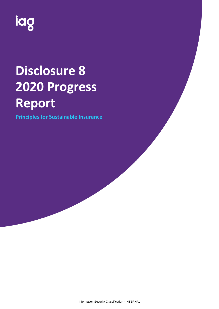

# **Disclosure 8 2020 Progress Report**

**Principles for Sustainable Insurance**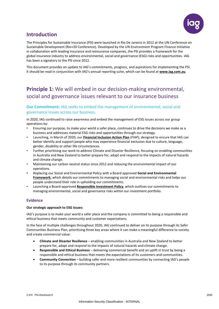

## **Introduction**

The Principles for Sustainable Insurance (PSI) were launched in Rio De Janeiro in 2012 at the UN Conference on Sustainable Development (Rio+20 Conference). Developed by the UN Environment Program Finance Initiative in collaboration with leading insurance and reinsurance companies, the PSI provides a framework for the global insurance industry to address environmental, social and governance (ESG) risks and opportunities. IAG has been a signatory to the PSI since 2012.

This document provides an update to IAG's commitments, progress, and aspirations for implementing the PSI. It should be read in conjunction with IAG's annual reporting suite, which can be found at **[www.iag.com.au](http://www.iag.com.au/)**.

# **Principle 1:** We will embed in our decision-making environmental, social and governance issues relevant to our insurance business

## **Our Commitment:** IAG seeks to embed the management of environmental, social and governance issues across our business.

In 2020, IAG continued to raise awareness and embed the management of ESG issues across our group operations by:

- Ensuring our purpose, to make your world a safer place, continues to drive the decisions we make as a business and addresses material ESG risks and opportunities through our strategy.
- Launching, in March of 2020, our **[Financial Inclusion Action Plan](https://www.iag.com.au/sites/default/files/Documents/Safer%20Communities/IAG-Financial-Inclusion-Plan-accessible-web.pdf)** (FIAP), designed to ensure that IAG can better identify and support people who may experience financial exclusion due to culture, language, gender, disability or other life circumstances.
- Further prioritising our work to address Climate and Disaster Resilience, focusing on enabling communities in Australia and New Zealand to better prepare for, adapt and respond to the impacts of natural hazards and climate change.
- Maintaining our carbon neutral status since 2012 and reducing the environmental impact of our operations.
- Replacing our Social and Environmental Policy with a Board approved **Social and Environmental [Framework](https://www.iag.com.au/sites/default/files/Documents/Safer%20Communities/IAG-Social-and-Environmental-Framework-111020.pdf)**, which details our commitments to managing social and environmental risks and helps our people understand their role in upholding our commitments.
- Launching a Board-approved **[Responsible Investment Policy](https://www.iag.com.au/sites/default/files/Documents/Corporate%20governance/Responsible-Investment-Policy.pdf)**, which outlines our commitments to managing environmental, social and governance risks within our investment portfolio.

## **Evidence**

#### **Our strategic approach to ESG issues:**

IAG's purpose is to make your world a safer place and the company is committed to being a responsible and ethical business that meets community and customer expectations.

In the face of multiple challenges throughout 2020, IAG continued to deliver on its purpose through its Safer Communities Business Plan, prioritising three key areas where it can make a meaningful difference to society and create commercial value:

- **Climate and Disaster Resilience**  enabling communities in Australia and New Zealand to better prepare for, adapt and respond to the impacts of natural hazards and climate change.
- **Responsible and Ethical Business** delivering commercial benefit and an uplift in trust by being a responsible and ethical business that meets the expectations of its customers and communities.
- **Community Connection**  building safer and more resilient communities by connecting IAG's people to its purpose through its community partners.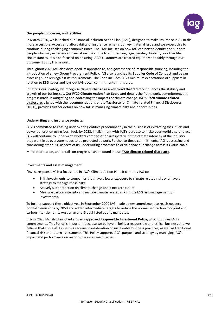

#### **Our people, processes, and facilities:**

In March 2020, we launched our Financial Inclusion Action Plan (FIAP), designed to make insurance in Australia more accessible. Access and affordability of insurance remains our key material issue and we expect this to continue during challenging economic times. The FIAP focuses on how IAG can better identify and support people who may experience financial exclusion due to culture, language, gender, disability, or other life circumstances. It is also focused on ensuring IAG's customers are treated equitably and fairly through our Customer Equity Framework.

Throughout 2020 IAG also developed its approach to, and governance of, responsible sourcing, including the introduction of a new Group Procurement Policy. IAG also launched its **[Supplier Code of Conduct](https://www.iag.com.au/sites/default/files/Documents/Suppliers/IAG-Supplier-Code-of-Conduct.pdf)** and began assessing suppliers against its requirements. The Code includes IAG's minimum expectations of suppliers in relation to ESG issues and lays out IAG's own commitments in this area.

In setting our strategy we recognise climate change as a key trend that directly influences the stability and growth of our businesses. Our **[FY20 Climate Action Plan Scorecard](https://www.iag.com.au/sites/default/files/Documents/Climate%20action/FY20-Climate-Action-Plan-Scorecard.pdf)** details the framework, commitment, and progress made in mitigating and addressing the impacts of climate change. IAG's **[FY20 climate-related](https://www.iag.com.au/sites/default/files/Documents/Safer%20Communities/FY20-Climate-related-disclosure.pdf)  [disclosure](https://www.iag.com.au/sites/default/files/Documents/Safer%20Communities/FY20-Climate-related-disclosure.pdf)**, aligned with the recommendations of the Taskforce for Climate-related Financial Disclosures (TCFD), provides further details on how IAG is managing climate risks and opportunities.

#### **Underwriting and insurance projects:**

IAG is committed to ceasing underwriting entities predominantly in the business of extracting fossil fuels and power generation using fossil fuels by 2023. In alignment with IAG's purpose to make your world a safer place, IAG will continue to underwrite workers compensation irrespective of the climate intensity of the industry they work in as everyone needs to be protected at work. Further to these commitments, IAG is assessing and considering other ESG aspects of its underwriting processes to drive behaviour change across its value chain.

More information, and details on progress, can be found in our **FY20 [climate-related disclosure](https://www.iag.com.au/sites/default/files/Documents/Safer%20Communities/FY20-Climate-related-disclosure.pdf)**.

#### **Investments and asset management:**

"Invest responsibly" is a focus area in IAG's Climate Action Plan. It commits IAG to:

- Shift investments to companies that have a lower exposure to climate related risks or a have a strategy to manage these risks.
- Actively support action on climate change and a net zero future.
- Measure carbon intensity and include climate related risks in the ESG risk management of investments.

To further support these objectives, in September 2020 IAG made a new commitment to reach net zero portfolio emissions by 2050 and added intermediate targets to reduce the normalised carbon footprint and carbon intensity for its Australian and Global listed equity mandates.

In Nov 2020 IAG also launched a Board-approved **[Responsible Investment Policy](https://www.iag.com.au/about-us/corporate-governance/codes-and-policies#responsible)**, which outlines IAG's commitments. This Policy is important because we believe in being a responsible and ethical business and we believe that successful investing requires consideration of sustainable business practices, as well as traditional financial risk and return assessments. This Policy supports IAG's purpose and strategy by managing IAG's impact and performance on responsible investment issues.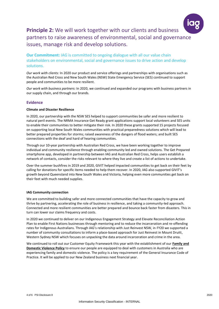

# **Principle 2:** We will work together with our clients and business partners to raise awareness of environmental, social and governance issues, manage risk and develop solutions.

**Our Commitment:** IAG is committed to ongoing dialogue with all our value chain stakeholders on environmental, social and governance issues to drive action and develop solutions.

*Our work with clients:* In 2020 our product and service offerings and partnerships with organisations such as the Australian Red Cross and New South Wales (NSW) State Emergency Service (SES) continued to support people and communities to be more resilient.

*Our work with business partners:* In 2020, we continued and expanded our programs with business partners in our supply chain, and through our brands.

## **Evidence**

#### **Climate and Disaster Resilience**

In 2020, our partnership with the NSW SES helped to support communities be safer and more resilient to natural peril events. The NRMA Insurance Get Ready grant applications support local volunteers and SES units to enable their communities to better mitigate their risk. In 2020 these grants supported 15 projects focused on supporting local New South Wales communities with practical preparedness solutions which will lead to better prepared properties for storms; raised awareness of the dangers of flood waters; and built SES connections with the deaf and hard of hearing communities.

Through our 10-year partnership with Australian Red Cross, we have been working together to improve individual and community resilience through enabling community led and owned solutions. The Get Prepared smartphone app, developed in partnership between IAG and Australian Red Cross, helps users establish a network of contacts, consider the risks relevant to where they live and create a list of actions to undertake.

Over the summer bushfires in 2019 and 2020, GIVIT helped impacted communities to get back on their feet by calling for donations for specific items needed to help them recover. In 2020, IAG also supported GIVIT's growth beyond Queensland into New South Wales and Victoria, helping even more communities get back on their feet with much needed supplies.

#### **IAG Community connection**

We are committed to building safer and more connected communities that have the capacity to grow and thrive by partnering, accelerating the role of business in resilience, and taking a community-led approach. Connected and more resilient communities are better prepared and bounce back faster from disasters. This in turn can lower our claims frequency and costs.

In 2020 we continued to deliver on our Indigenous Engagement Strategy and Elevate Reconciliation Action Plan to enable First Nations businesses through mentoring and to reduce the incarceration and re-offending rates for Indigenous Australians. Through IAG's relationship with Just Reinvest NSW, in FY20 we supported a number of community consultations to inform a place-based approach for Just Reinvest in Mount Druitt, Western Sydney NSW which focuses on unpacking the data around incarceration and crime in the area.

We continued to roll out our Customer Equity Framework this year with the establishment of our **[Family and](https://www.iag.com.au/sites/default/files/Documents/IAG-Customer-FDV-Policy.pdf)  [Domestic Violence Policy](https://www.iag.com.au/sites/default/files/Documents/IAG-Customer-FDV-Policy.pdf)** to ensure our people are equipped to deal with customers in Australia who are experiencing family and domestic violence. The policy is a key requirement of the General Insurance Code of Practice. It will be applied to our New Zealand business next financial year.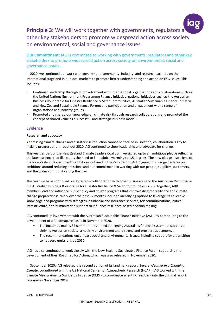

**Principle 3:** We will work together with governments, regulators a other key stakeholders to promote widespread action across society on environmental, social and governance issues.

**Our Commitment:** IAG is committed to working with governments, regulators and other key stakeholders to promote widespread action across society on environmental, social and governance issues.

In 2020, we continued our work with government, community, industry, and research partners on the international stage and in our local markets to promote better understanding and action on ESG issues. This includes:

- Continued leadership through our involvement with international organisations and collaborations such as the United Nations Environment Programme Finance Initiative; national initiatives such as the Australian Business Roundtable for Disaster Resilience & Safer Communities, Australian Sustainable Finance Initiative and New Zealand Sustainable Finance Forum; and participation and engagement with a range of organisations and industry groups.
- Promoted and shared our knowledge on climate risk through research collaborations and promoted the concept of shared value as a successful and strategic business model.

## **Evidence**

#### **Research and advocacy**

Addressing climate change and disaster risk reduction cannot be tackled in isolation; collaboration is key to making progress and throughout 2020 IAG continued to show leadership and advocate for change.

This year, as part of the New Zealand Climate Leaders Coalition, we signed up to an ambitious pledge reflecting the latest science that illustrates the need to limit global warming to 1.5 degrees. The new pledge also aligns to the New Zealand Government's ambitions outlined in the Zero Carbon Act. Signing this pledge declares our ambitions around reducing emissions and our commitment to working with our people, suppliers, customers, and the wider community along the way.

This year we have continued our long-term collaboration with other businesses and the Australian Red Cross in the Australian Business Roundtable for Disaster Resilience & Safer Communities (ABR). Together, ABR members lead and influence public policy and deliver programs that improve disaster resilience and climate change preparedness. Work over the past 12 months included identifying options to leverage its collective knowledge and programs with strengths in financial and insurance services, telecommunications, critical infrastructure, and humanitarian support to influence resilience-based decision making.

IAG continued its involvement with the Australian Sustainable Finance Initiative (ASFI) by contributing to the development of a Roadmap, released in November 2020.

- The Roadmap makes 37 commitments aimed at aligning Australia's financial system to 'support a thriving Australian society, a healthy environment and a strong and prosperous economy'.
- The recommendations encompass social and environmental issues, including support for a transition to net-zero emissions by 2050.

IAG has also continued to work closely with the New Zealand Sustainable Finance Forum supporting the development of their Roadmap for Action, which was also released in November 2020.

In September 2020, IAG released the second edition of its landmark report, *Severe Weather in a Changing Climate*, co-authored with the US National Center for Atmospheric Research (NCAR). IAG worked with the Climate Measurements Standards Initiative (CMSI) to coordinate scientific feedback into the original report released in November 2019.